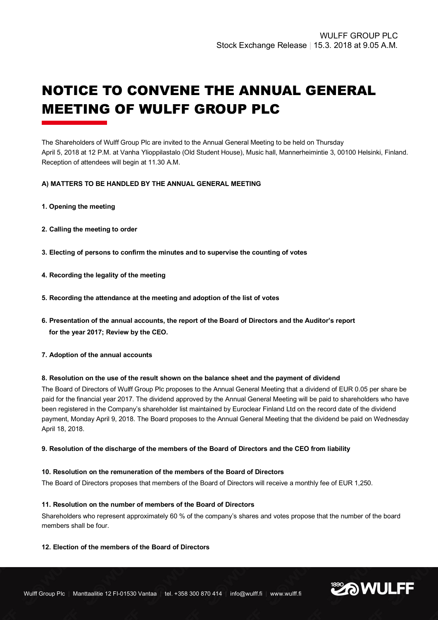# NOTICE TO CONVENE THE ANNUAL GENERAL MEETING OF WULFF GROUP PLC

The Shareholders of Wulff Group Plc are invited to the Annual General Meeting to be held on Thursday April 5, 2018 at 12 P.M. at Vanha Ylioppilastalo (Old Student House), Music hall, Mannerheimintie 3, 00100 Helsinki, Finland. Reception of attendees will begin at 11.30 A.M.

# **A) MATTERS TO BE HANDLED BY THE ANNUAL GENERAL MEETING**

- **1. Opening the meeting**
- **2. Calling the meeting to order**
- **3. Electing of persons to confirm the minutes and to supervise the counting of votes**
- **4. Recording the legality of the meeting**
- **5. Recording the attendance at the meeting and adoption of the list of votes**
- **6. Presentation of the annual accounts, the report of the Board of Directors and the Auditor's report for the year 2017; Review by the CEO.**
- **7. Adoption of the annual accounts**

#### **8. Resolution on the use of the result shown on the balance sheet and the payment of dividend**

The Board of Directors of Wulff Group Plc proposes to the Annual General Meeting that a dividend of EUR 0.05 per share be paid for the financial year 2017. The dividend approved by the Annual General Meeting will be paid to shareholders who have been registered in the Company's shareholder list maintained by Euroclear Finland Ltd on the record date of the dividend payment, Monday April 9, 2018. The Board proposes to the Annual General Meeting that the dividend be paid on Wednesday April 18, 2018.

#### **9. Resolution of the discharge of the members of the Board of Directors and the CEO from liability**

# **10. Resolution on the remuneration of the members of the Board of Directors**

The Board of Directors proposes that members of the Board of Directors will receive a monthly fee of EUR 1,250.

#### **11. Resolution on the number of members of the Board of Directors**

Shareholders who represent approximately 60 % of the company's shares and votes propose that the number of the board members shall be four.

# **12. Election of the members of the Board of Directors**

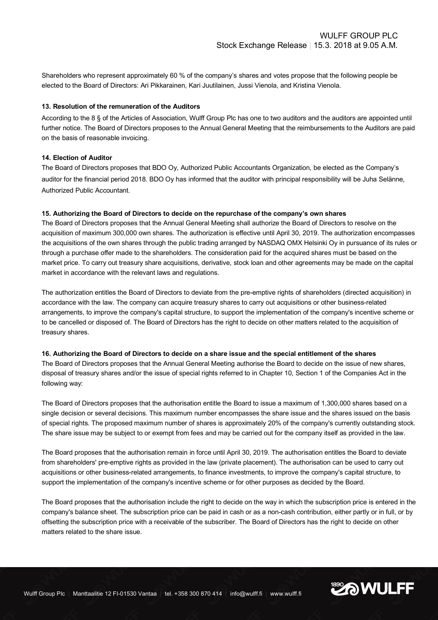Shareholders who represent approximately 60 % of the company's shares and votes propose that the following people be elected to the Board of Directors: Ari Pikkarainen, Kari Juutilainen, Jussi Vienola, and Kristina Vienola.

# **13. Resolution of the remuneration of the Auditors**

According to the 8 § of the Articles of Association, Wulff Group Plc has one to two auditors and the auditors are appointed until further notice. The Board of Directors proposes to the Annual General Meeting that the reimbursements to the Auditors are paid on the basis of reasonable invoicing.

#### **14. Election of Auditor**

The Board of Directors proposes that BDO Oy, Authorized Public Accountants Organization, be elected as the Company's auditor for the financial period 2018. BDO Oy has informed that the auditor with principal responsibility will be Juha Selänne, Authorized Public Accountant.

# **15. Authorizing the Board of Directors to decide on the repurchase of the company's own shares**

The Board of Directors proposes that the Annual General Meeting shall authorize the Board of Directors to resolve on the acquisition of maximum 300,000 own shares. The authorization is effective until April 30, 2019. The authorization encompasses the acquisitions of the own shares through the public trading arranged by NASDAQ OMX Helsinki Oy in pursuance of its rules or through a purchase offer made to the shareholders. The consideration paid for the acquired shares must be based on the market price. To carry out treasury share acquisitions, derivative, stock loan and other agreements may be made on the capital market in accordance with the relevant laws and regulations.

The authorization entitles the Board of Directors to deviate from the pre-emptive rights of shareholders (directed acquisition) in accordance with the law. The company can acquire treasury shares to carry out acquisitions or other business-related arrangements, to improve the company's capital structure, to support the implementation of the company's incentive scheme or to be cancelled or disposed of. The Board of Directors has the right to decide on other matters related to the acquisition of treasury shares.

#### **16. Authorizing the Board of Directors to decide on a share issue and the special entitlement of the shares**

The Board of Directors proposes that the Annual General Meeting authorise the Board to decide on the issue of new shares, disposal of treasury shares and/or the issue of special rights referred to in Chapter 10, Section 1 of the Companies Act in the following way:

The Board of Directors proposes that the authorisation entitle the Board to issue a maximum of 1,300,000 shares based on a single decision or several decisions. This maximum number encompasses the share issue and the shares issued on the basis of special rights. The proposed maximum number of shares is approximately 20% of the company's currently outstanding stock. The share issue may be subject to or exempt from fees and may be carried out for the company itself as provided in the law.

The Board proposes that the authorisation remain in force until April 30, 2019. The authorisation entitles the Board to deviate from shareholders' pre-emptive rights as provided in the law (private placement). The authorisation can be used to carry out acquisitions or other business-related arrangements, to finance investments, to improve the company's capital structure, to support the implementation of the company's incentive scheme or for other purposes as decided by the Board.

The Board proposes that the authorisation include the right to decide on the way in which the subscription price is entered in the company's balance sheet. The subscription price can be paid in cash or as a non-cash contribution, either partly or in full, or by offsetting the subscription price with a receivable of the subscriber. The Board of Directors has the right to decide on other matters related to the share issue.

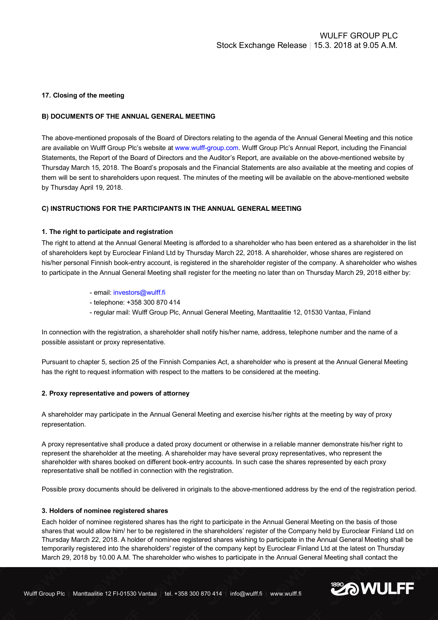#### **17. Closing of the meeting**

### **B) DOCUMENTS OF THE ANNUAL GENERAL MEETING**

The above-mentioned proposals of the Board of Directors relating to the agenda of the Annual General Meeting and this notice are available on Wulff Group Plc's website at www.wulff-group.com. Wulff Group Plc's Annual Report, including the Financial Statements, the Report of the Board of Directors and the Auditor's Report, are available on the above-mentioned website by Thursday March 15, 2018. The Board's proposals and the Financial Statements are also available at the meeting and copies of them will be sent to shareholders upon request. The minutes of the meeting will be available on the above-mentioned website by Thursday April 19, 2018.

# **C) INSTRUCTIONS FOR THE PARTICIPANTS IN THE ANNUAL GENERAL MEETING**

#### **1. The right to participate and registration**

The right to attend at the Annual General Meeting is afforded to a shareholder who has been entered as a shareholder in the list of shareholders kept by Euroclear Finland Ltd by Thursday March 22, 2018. A shareholder, whose shares are registered on his/her personal Finnish book-entry account, is registered in the shareholder register of the company. A shareholder who wishes to participate in the Annual General Meeting shall register for the meeting no later than on Thursday March 29, 2018 either by:

- email: investors@wulff.fi
- telephone: +358 300 870 414
- regular mail: Wulff Group Plc, Annual General Meeting, Manttaalitie 12, 01530 Vantaa, Finland

In connection with the registration, a shareholder shall notify his/her name, address, telephone number and the name of a possible assistant or proxy representative.

Pursuant to chapter 5, section 25 of the Finnish Companies Act, a shareholder who is present at the Annual General Meeting has the right to request information with respect to the matters to be considered at the meeting.

#### **2. Proxy representative and powers of attorney**

A shareholder may participate in the Annual General Meeting and exercise his/her rights at the meeting by way of proxy representation.

A proxy representative shall produce a dated proxy document or otherwise in a reliable manner demonstrate his/her right to represent the shareholder at the meeting. A shareholder may have several proxy representatives, who represent the shareholder with shares booked on different book-entry accounts. In such case the shares represented by each proxy representative shall be notified in connection with the registration.

Possible proxy documents should be delivered in originals to the above-mentioned address by the end of the registration period.

#### **3. Holders of nominee registered shares**

Each holder of nominee registered shares has the right to participate in the Annual General Meeting on the basis of those shares that would allow him/ her to be registered in the shareholders' register of the Company held by Euroclear Finland Ltd on Thursday March 22, 2018. A holder of nominee registered shares wishing to participate in the Annual General Meeting shall be temporarily registered into the shareholders' register of the company kept by Euroclear Finland Ltd at the latest on Thursday March 29, 2018 by 10.00 A.M. The shareholder who wishes to participate in the Annual General Meeting shall contact the